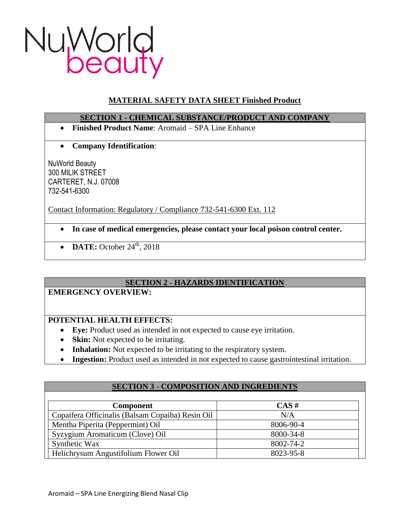

# **MATERIAL SAFETY DATA SHEET Finished Product**

## **SECTION 1 - CHEMICAL SUBSTANCE/PRODUCT AND COMPANY**

- **Finished Product Name**: Aromaid SPA Line Enhance
- **Company Identification**:

NuWorld Beauty 300 MILIK STREET CARTERET, N.J. 07008 732-541-6300

Contact Information: Regulatory / Compliance 732-541-6300 Ext. 112

- **In case of medical emergencies, please contact your local poison control center.**
- $\bullet$  **DATE:** October 24<sup>th</sup>, 2018

# **SECTION 2 - HAZARDS IDENTIFICATION**

# **EMERGENCY OVERVIEW:**

# **POTENTIAL HEALTH EFFECTS:**

- **Eye:** Product used as intended in not expected to cause eye irritation.
- **Skin:** Not expected to be irritating.
- **Inhalation:** Not expected to be irritating to the respiratory system.
- **Ingestion:** Product used as intended in not expected to cause gastrointestinal irritation.

| <b>SECTION 3 - COMPOSITION AND INGREDIENTS</b>   |           |
|--------------------------------------------------|-----------|
|                                                  |           |
| <b>Component</b>                                 | $CAS \#$  |
| Copaifera Officinalis (Balsam Copaiba) Resin Oil | N/A       |
| Mentha Piperita (Peppermint) Oil                 | 8006-90-4 |
| Syzygium Aromaticum (Clove) Oil                  | 8000-34-8 |
| Synthetic Wax                                    | 8002-74-2 |
| Helichrysum Angustifolium Flower Oil             | 8023-95-8 |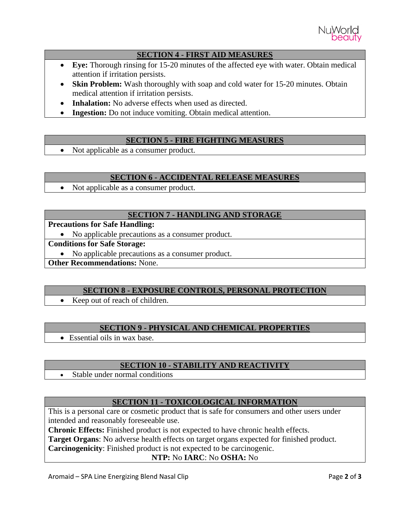

### **SECTION 4 - FIRST AID MEASURES**

- **Eye:** Thorough rinsing for 15-20 minutes of the affected eye with water. Obtain medical attention if irritation persists.
- Skin Problem: Wash thoroughly with soap and cold water for 15-20 minutes. Obtain medical attention if irritation persists.
- **Inhalation:** No adverse effects when used as directed.
- **Ingestion:** Do not induce vomiting. Obtain medical attention.

## **SECTION 5 - FIRE FIGHTING MEASURES**

• Not applicable as a consumer product.

### **SECTION 6 - ACCIDENTAL RELEASE MEASURES**

• Not applicable as a consumer product.

## **SECTION 7 - HANDLING AND STORAGE**

**Precautions for Safe Handling:**

No applicable precautions as a consumer product.

**Conditions for Safe Storage:**

• No applicable precautions as a consumer product.

**Other Recommendations:** None.

### **SECTION 8 - EXPOSURE CONTROLS, PERSONAL PROTECTION**

• Keep out of reach of children.

### **SECTION 9 - PHYSICAL AND CHEMICAL PROPERTIES**

Essential oils in wax base.

### **SECTION 10 - STABILITY AND REACTIVITY**

• Stable under normal conditions

### **SECTION 11 - TOXICOLOGICAL INFORMATION**

This is a personal care or cosmetic product that is safe for consumers and other users under intended and reasonably foreseeable use.

**Chronic Effects:** Finished product is not expected to have chronic health effects.

**Target Organs**: No adverse health effects on target organs expected for finished product.

**Carcinogenicity**: Finished product is not expected to be carcinogenic.

### **NTP:** No **IARC**: No **OSHA:** No

Aromaid – SPA Line Energizing Blend Nasal Clip Page **2** of **3**